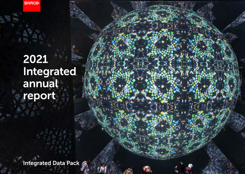**BARGO** 

# 2021 Integrated annual report

Integrated Data Pack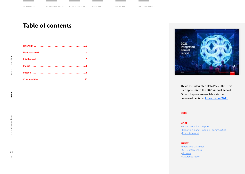## Table of contents



This is the Integrated Data Pack 2021. This is an appendix to the 2021 Annual Report. Other chapters are available via the download center at [ir.barco.com/2021](https://ir.barco.com/2021).

#### **[CORE](https://ir.barco.com/2021/uploads/files/PDF/Barco-IR2021-COR.pdf)**

#### **MORE**

- [Governance & risk report](https://ir.barco.com/2021/uploads/files/PDF/Barco-IR2021-CGR.pdf)
- [Report on planet people communities](https://ir.barco.com/2021/uploads/files/PDF/Barco-IR2021-PPC.pdf)
- [Financial report](https://ir.barco.com/2021/uploads/files/PDF/Barco-IR2021-FIN.pdf)

#### ANNEX

- [Integrated Data Pack](https://ir.barco.com/2021/uploads/files/PDF/Barco-IR2021-IDP.pdf)
- [GRI Content index](https://ir.barco.com/2021/uploads/files/PDF/Barco-IR2021-GRI.pdf)
- [Glossary](https://ir.barco.com/2021/uploads/files/PDF/Barco-IR2021-GLO.pdf)
- [Assurance report](https://ir.barco.com/2021/uploads/files/PDF/Barco-IR2021-ASR.pdf)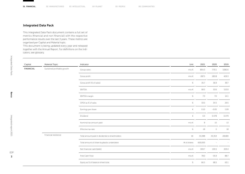### <span id="page-2-0"></span>Integrated Data Pack

This Integrated Data Pack document contains a full set of metrics (financial and non-financial) with the respective performance results over the last 3 years. These metrics are organized per Capital and Material topic.

This document is being updated every year and released together with the Annual Report. For definitions on the indicators, see glossary.

| Capital          | <b>Material Topic</b>       | Indicator                                      | Unit        | 2021    | 2020    | 2019   |
|------------------|-----------------------------|------------------------------------------------|-------------|---------|---------|--------|
| <b>FINANCIAL</b> | Sustained profitable growth | Group sales                                    | mio $\in$   | 804.3   | 770.1   | 1082.6 |
|                  |                             | Gross profit                                   | mio $\in$   | 287.5   | 283.8   | 429.3  |
|                  |                             | Gross profit (% of sales)                      | $\%$        | 35.7    | 36.9    | 39.7   |
|                  |                             | EBITDA                                         | mio $\in$   | 58.5    | 53.6    | 153.0  |
|                  |                             | EBITDA margin                                  | $\%$        | 7.3     | 7.0     | 14.1   |
|                  |                             | OPEX as % of sales                             | $\%$        | 33.0    | 34.5    | 29.5   |
|                  |                             | Earnings per share                             | €           | 0.10    | $-0.05$ | 1.09   |
|                  |                             | Dividend                                       | €           | 0.4     | 0.378   | 0.379  |
|                  |                             | Nominal tax amount paid                        | mio $\in$   | 8       | 10      | 13     |
|                  |                             | Effective tax rate                             | $\%$        | 18      | $\circ$ | 18     |
|                  | Financial resilience        | Total amount paid in dividends to shareholders | $k \in$     | 33,388  | 33,354  | 28,680 |
|                  |                             | Total amount of share buybacks undertaken      | # of shares | 600,000 |         | $\sim$ |
|                  |                             | Net financial cash/(debt)                      | mio $\in$   | 309.7   | 193.5   | 329.4  |
|                  |                             | Free Cash Flow                                 | mio $\in$   | 78.0    | $-35.9$ | 88.7   |
|                  |                             | Equity as % of balance sheet total             | $\%$        | 66.5    | 68.5    | 63.1   |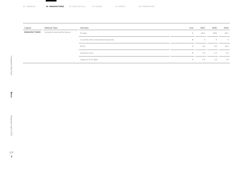<span id="page-3-0"></span>

| <b>02 MANUFACTURED</b><br>01 FINANCIAL | 03 INTELLECTUAL | 04 PLANET | 05 PEOPLE | 06 COMMUNITIES |
|----------------------------------------|-----------------|-----------|-----------|----------------|
|----------------------------------------|-----------------|-----------|-----------|----------------|

| Capital      | <b>Material Topic</b>       | Indicator                               | Unit | 2021 | 2020           | 2019  |
|--------------|-----------------------------|-----------------------------------------|------|------|----------------|-------|
| MANUFACTURED | Long term asset performance | % make                                  | $\%$ | 66.2 | 69.6           | 63.1  |
|              |                             | Countries with a manufacturing facility | #    | 4    | $\overline{4}$ | $5 -$ |
|              |                             | <b>ROCE</b>                             | $\%$ | 4.4  | 3.0            | 25.0  |
|              |                             | Inventory turns                         | #    | 2.4  | 2.3            | 3.2   |
|              |                             | Capex (in % of sales)                   | $\%$ | 2.3  | 1.9            | 1.9   |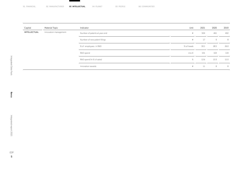<span id="page-4-0"></span>

| 01 FINANCIAL | 02 MANUFACTURED<br><b>03 INTELLECTUAL</b> | 04 PLANET | 05 PEOPLE | 06 COMMUNITIES |
|--------------|-------------------------------------------|-----------|-----------|----------------|
|--------------|-------------------------------------------|-----------|-----------|----------------|

| Capital      | <b>Material Topic</b> | Indicator                     | Unit           | 2021 | 2020 | 2019 |
|--------------|-----------------------|-------------------------------|----------------|------|------|------|
| INTELLECTUAL | Innovation management | Number of patents at year-end | #              | 504  | 461  | 402  |
|              |                       | Number of new patent filings  | #              | 17   | 9    | 8    |
|              |                       | % of employees in R&D         | % of heads     | 30.1 | 28.5 | 26.0 |
|              |                       | R&D spend                     | mio $\epsilon$ | 101  | 103  | 119  |
|              |                       | R&D spend (in % of sales)     | $\%$           | 12.6 | 13.3 | 11.0 |
|              |                       | Innovation awards             | #              | 11   | 8    | 8    |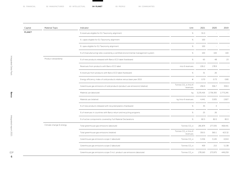<span id="page-5-0"></span>

| Capital | <b>Material Topic</b>   | Indicator                                                                         | Unit                                        | 2021      | 2020           | 2019      |
|---------|-------------------------|-----------------------------------------------------------------------------------|---------------------------------------------|-----------|----------------|-----------|
| PLANET  |                         | % revenues eligible for EU Taxonomy alignment                                     | $\%$                                        | 91.0      |                |           |
|         |                         | % capex eligible for EU Taxonomy alignment                                        | $\%$                                        | 100       |                |           |
|         |                         | % opex eligible for EU Taxonomy alignment                                         | $\%$                                        | 100       |                | $\sim$    |
|         |                         | % of (manufacturing) sites covered by a certified environmental management system | $\%$                                        | 100       | 100            | 100       |
|         | Product stewardship     | % of new products released with Barco ECO label (hardware)                        | $\%$                                        | 65        | 48             | 23        |
|         |                         | Revenues from products with Barco ECO label                                       | mio $\epsilon$ revenues                     | 226.2     | 178.9          | $\sim$    |
|         |                         | % revenues from products with Barco ECO label (hardware)                          | $\%$                                        | 31        | 26             | $\sim$    |
|         |                         | Energy efficiency index of sold products relative versus base year 2015           | $\#$                                        | 0.70      | 0.73           | 0.80      |
|         |                         | Greenhouse gas emissions of sold products (product use emissions) (relative)      | Tonnes CO <sub>2</sub> e /mio €<br>revenues | 296.9     | 306.7          | 359.0     |
|         |                         | Material use (absolute)                                                           | kg                                          | 3,235,416 | 2,736,305      | 2,773,245 |
|         |                         | Material use (relative)                                                           | kg /mio € revenues                          | 4,441     | 3,935          | 2,827     |
|         |                         | % of new products released with recycled plastics (hardware)                      | $\%$                                        | 35        | $\overline{4}$ | $\sim$    |
|         |                         | % of revenues in countries with Barco return and recycling programs               | $\%$                                        | 25        | 26             | $\sim$    |
|         |                         | % of active components covered by Full Material Declarations                      | $\%$                                        | 82.5      | 82.0           | 82.0      |
|         | Climate change & energy | Total greenhouse gas emissions (absolute)                                         | Tonnes CO <sub>2</sub> e                    | 281,874   | 277,335        | 458,441   |
|         |                         | Total greenhouse gas emissions (relative)                                         | Tonnes CO <sub>2</sub> e /mio €<br>revenues | 350.5     | 360.1          | 423.32    |
|         |                         | Greenhouse gas emissions scope 1 (absolute)                                       | Tonnes CO <sub>2</sub> e                    | 3.256     | 3,145          | 4,044     |
|         |                         | Greenhouse gas emissions scope 2 (absolute)                                       | Tonnes CO <sub>2</sub> e                    | 459       | 215            | 5,138     |
|         |                         | Greenhouse gas emissions scope 3 incl. product use emissions (absolute)           | Tonnes CO <sub>2</sub> e                    | 278,160   | 273,975        | 449,259   |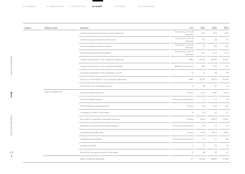| Capital | Material Topic   | Indicator                                            | Unit                                        | 2021   | 2020                                                                                                                                                                              | 2019    |
|---------|------------------|------------------------------------------------------|---------------------------------------------|--------|-----------------------------------------------------------------------------------------------------------------------------------------------------------------------------------|---------|
|         |                  | Greenhouse gas emissions of our own operations       | Tonnes CO <sub>2</sub> e /mio €<br>revenues | 53.6   | 53.4                                                                                                                                                                              | 64.3    |
|         |                  | Greenhouse gas emissions infrastructure              | Tonnes CO <sub>2</sub> e /mio €<br>revenues | 4.0    | 3.8                                                                                                                                                                               | 7.5     |
|         |                  | Greenhouse gas emissions mobility                    | Tonnes CO <sub>2</sub> e /mio €<br>revenues | 7.0    | 8.3                                                                                                                                                                               | 15.4    |
|         |                  | Greenhouse gas emissions logistics                   | Tonnes CO <sub>2</sub> e /mio €<br>revenues | 42.7   | 41.3<br>26,442<br>39.0<br>34.3<br>52<br>54<br>14,570<br>98<br>97<br>1,937<br>1.4<br>2.5<br>27.4<br>31.0<br>1.2<br>2.4<br>1,007.2<br>0.8<br>1.3<br>561.7<br>0.2<br>0.7<br>15<br>29 | 41.4    |
|         |                  | Energy consumption in own operations (absolute)      | MWh                                         | 31,345 |                                                                                                                                                                                   | 36,470  |
|         |                  | Energy consumption in own operations (relative)      | MWh/mio € revenues                          |        |                                                                                                                                                                                   | 33.7    |
|         |                  | % energy consumption from renewable sources          | $\%$                                        |        |                                                                                                                                                                                   | 29      |
|         |                  | Electricity consumption in own operations (absolute) | MWh                                         | 16,747 |                                                                                                                                                                                   | 20,020  |
|         |                  | % electricity from renewable sources                 | $\%$                                        |        |                                                                                                                                                                                   | 53      |
|         | Waste management | Total solid waste (absolute)                         | Tonnes                                      | 1,131  |                                                                                                                                                                                   | 2,514   |
|         |                  | Total solid waste (relative)                         | Tonnes/mio € revenues                       |        |                                                                                                                                                                                   | 2.3     |
|         |                  | Total hazardous waste (absolute)                     | Tonnes                                      |        |                                                                                                                                                                                   | 43.5    |
|         |                  | % hazardous waste of solid waste                     | $\%$                                        |        |                                                                                                                                                                                   | 1.7     |
|         |                  | Recycled & composted solid waste (absolute)          | Tonnes                                      | 659.4  |                                                                                                                                                                                   | 1,533.5 |
|         |                  | Recycled & composted solid waste (relative)          | Tonnes/mio € revenues                       |        |                                                                                                                                                                                   | 1.4     |
|         |                  | Landfilled waste (absolute)                          | Tonnes                                      | 174.0  |                                                                                                                                                                                   | 659.0   |
|         |                  | Landfilled waste (relative)                          | Tonnes/mio € revenues                       |        |                                                                                                                                                                                   | 0.6     |
|         |                  | % waste to landfill                                  | $\%$                                        |        |                                                                                                                                                                                   | 26      |
|         |                  | Recycling & composting rate of solid waste           | $\%$                                        | 58     | 52                                                                                                                                                                                | 61      |
|         |                  | Water withdrawal (absolute)                          | m <sup>3</sup>                              | 35,323 | 38,666                                                                                                                                                                            | 51,394  |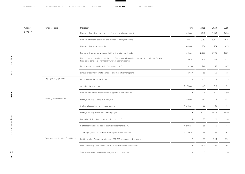<span id="page-7-0"></span>

| Capital | <b>Material Topic</b>               | Indicator                                                                                                                                              | Unit       | 2021    | 2020                     | 2019    |
|---------|-------------------------------------|--------------------------------------------------------------------------------------------------------------------------------------------------------|------------|---------|--------------------------|---------|
| PEOPLE  |                                     | Number of employees at the end of the financial year (heads)                                                                                           | # heads    | 3,141   | 3,303                    | 3,636   |
|         |                                     | Number of employees at the end of the financial year (FTEs)                                                                                            | #FTEs      | 3,039   | 3,211                    | 3,536   |
|         |                                     | Number of new (external) hires                                                                                                                         | # heads    | 384     | 374                      | 653     |
|         |                                     | Permanent workforce at the end of the financial year (heads)                                                                                           | # heads    | 2,882   | 2,996                    | 3,320   |
|         |                                     | Non-permanent workforce at the end of the financial year directly employed by Barco (heads,<br>fixed-term contracts + temporary work + apprenticeship) | # heads    | 307     | 325                      | 413     |
|         |                                     | Employee wages and benefits (personnel costs)                                                                                                          | mio $\in$  | 241     | 235                      | 287     |
|         |                                     | Employer contributions to pensions or other retirement plans                                                                                           | mio $\in$  | 13      | 13                       | 15      |
|         | Employee engagement                 | Employee Net Promoter Score                                                                                                                            | $\#$       | 38.5    | $\overline{\phantom{a}}$ | $\sim$  |
|         |                                     | Voluntary turnover rate                                                                                                                                | % of heads | 10.5    | 9.6                      | 9.1     |
|         |                                     | Number of iGemba improvement suggestions per operator                                                                                                  | $\#$       | 5.5     | 4.1                      | 6.0     |
|         | Learning & Development              | Average training hours per employee                                                                                                                    | # hours    | 10.5    | 11.3                     | 13.2    |
|         |                                     | % of employees having received training                                                                                                                | % of heads | 89      | 85                       | 61      |
|         |                                     | Average training investment per employee                                                                                                               | $\in$      | 302.0   | 353.5                    | 354.0   |
|         |                                     | Internal mobility (% of vacancies filled internally)                                                                                                   | $\%$       | 20      | 20                       | 24      |
|         |                                     | % of leaders in annual leader talent development review                                                                                                | % of heads | 31      | 30                       | 44      |
|         |                                     | % of employees who received Annual performance review                                                                                                  | % of heads | 58      | 59                       | 62      |
|         | Employee health, safety & wellbeing | Lost time injury frequency rate (per 1 000 000 hours worked) employees                                                                                 | $\#$       | 1.59    | 2.44                     | 2.73    |
|         |                                     | Lost Time Injury Severity rate (per 1000 hours worked) employees                                                                                       | $\#$       | 0.07    | 0.07                     | 0.05    |
|         |                                     | Total work-related fatalities (employees and contractors)                                                                                              | $\#$       | $\circ$ | $\circ$                  | $\circ$ |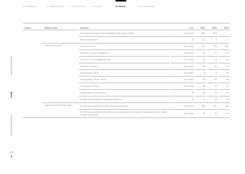| Capital | <b>Material Topic</b>          | Indicator                                                                                                                 | Unit       | 2021 | 2020 | 2019           |
|---------|--------------------------------|---------------------------------------------------------------------------------------------------------------------------|------------|------|------|----------------|
|         |                                | % employees trained in Standards@Work Safety (white collars)                                                              | % of heads | 99.6 | 99.4 | $\sim$         |
|         |                                | Rate of absenteeism                                                                                                       | $\%$       | 2.7  | 3    | $\overline{4}$ |
|         | Diversity & inclusion          | % women overall                                                                                                           | % of heads | 27.1 | 27.6 | 28.4           |
|         |                                | % women in senior management                                                                                              | % of heads | 16   | 17   | 15             |
|         |                                | % women in Core Leadership Team                                                                                           | % of heads | 13   | 13   | 13             |
|         |                                | % women in Board                                                                                                          | % of heads | 50   | 29   | 29             |
|         |                                | % employees < 30 yrs                                                                                                      | % of heads | 9    | 9    | 10             |
|         |                                | % employees > 30 yrs < 50 yrs                                                                                             | % of heads | 63   | 67   | 69             |
|         |                                | % employees > 50 yrs                                                                                                      | % of heads | 28   | 24   | 22             |
|         |                                | Average age of the workforce                                                                                              | $\#$       | 43   | 43   | 43             |
|         |                                | Number of nationalities in the global workforce                                                                           | $\#$       | 44   | 44   | 45             |
|         | Labor practices & human rights | % employees covered by formal collective agreements                                                                       | % of heads | 100  | 100  | 100            |
|         |                                | % of the total workforce across all locations represented in formal joint management-worker health<br>& safety committees | % of heads | 52   | 51   | 47             |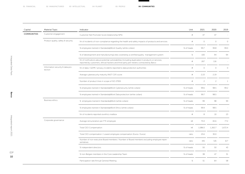<span id="page-9-0"></span>

| Capital            | <b>Material Topic</b>                       | Indicator                                                                                                                                                                                     | Unit       | 2021           | 2020                | 2019         |
|--------------------|---------------------------------------------|-----------------------------------------------------------------------------------------------------------------------------------------------------------------------------------------------|------------|----------------|---------------------|--------------|
| <b>COMMUNITIES</b> | Customer engagement                         | Customer Net Promoter Score (relationship NPS)                                                                                                                                                | $\#$       | 47             | 47                  |              |
|                    | Product quality, safety & security          | Nr of incidents of non-compliance regarding the health and safety impacts of products and services                                                                                            | $\#$       | $\mathbb O$    | $\circ$             | $\circ$      |
|                    |                                             | % employees trained in Standards@Work Quality (white collars)                                                                                                                                 | % of heads | 99.7           | 99.8                | 99.0         |
|                    |                                             | % of (development and manufacturing) sites covered by a certified quality management system                                                                                                   | $\%$       | 100            | 94                  | 94           |
|                    |                                             | Nr of notifications about potential vulnerabilities (including duplicates) in products or services,<br>reported by customers, ethical hackers and third-party pen-testers contracted by Barco | $\#$       | 267            | 116                 |              |
|                    | Information security & data pro-<br>tection | Nr of data / GDPR / privacy incidents reported to data protection authorities                                                                                                                 | $\#$       | $\circ$        | $\circlearrowright$ | $\circ$      |
|                    |                                             | Average cybersecurity maturity (NIST CSF) score                                                                                                                                               | $\#$       | 2.23           | 2.19                | $\sim$       |
|                    |                                             | Number of product lines in scope of ISO 27001                                                                                                                                                 | $\#$       | $\overline{c}$ | $\overline{c}$      | $\mathbf{1}$ |
|                    |                                             | % employees trained in Standards@Work Cybersecurity (white collars)                                                                                                                           | % of heads | 99.6           | 98.5                | 99.2         |
|                    |                                             | % employees trained in Standards@Work Data protection (white collars)                                                                                                                         | % of heads | 99.7           | 98.5                | $\sim$       |
|                    | <b>Business ethics</b>                      | % employees trained in Standards@Work (white collars)                                                                                                                                         | % of heads | 99             | 98                  | 99           |
|                    |                                             | % employees trained in Standards@Work Ethics (white collars)                                                                                                                                  | % of heads | 99.9           | 98.5                | $\sim$       |
|                    |                                             | Nr of incidents reported via ethics mailbox                                                                                                                                                   | $\#$       | 8              | 10                  | 23           |
|                    | Corporate governance                        | Average remuneration per FTE employee                                                                                                                                                         | $k \in$    | 75.0           | 65.6                | 77.2         |
|                    |                                             | Total CEO Compensation                                                                                                                                                                        | k€         | 1,086.0        | 1,262.7             | 1,672.4      |
|                    |                                             | Total CEO compensation / Lowest employee compensation (Euros / Euros)                                                                                                                         | ratio      | 25.6           | 30.0                |              |
|                    |                                             | Number of non-executive Board members / Number of Board members excluding employee repre-<br>sentatives                                                                                       | ratio      | 4/6            | 5/6                 | 6/7          |
|                    |                                             | % independent directors                                                                                                                                                                       | % of heads | 50             | 50                  | 43           |
|                    |                                             | % non-Belgian members in the Core Leadership Team                                                                                                                                             | % of heads | 38             | 47                  | 31           |
|                    |                                             | Participation rate Annual General Meeting                                                                                                                                                     | $\%$       | 51             | 64                  | 58           |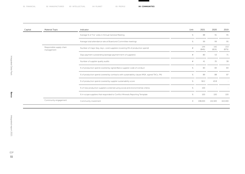| Capital | <b>Material Topic</b>                  | Indicator                                                                                    | Unit | 2021         | 2020         | 2019         |
|---------|----------------------------------------|----------------------------------------------------------------------------------------------|------|--------------|--------------|--------------|
|         |                                        | Average % of 'For' votes in Annual General Meeting                                           | $\%$ | 88           | 91           | 95           |
|         |                                        | Average total attendance rate at Board and Committee meetings                                | $\%$ | 99           | 99           | 95           |
|         | Responsible supply chain<br>management | Number of major (key, key+, core) suppliers (covering X% of production spend)                |      | 144<br>(84%) | 142<br>(81%) | 153<br>(87%) |
|         |                                        | Days payment outstanding (average payment term of suppliers)                                 | #    | 80           | 53           | 71           |
|         |                                        | Number of supplier quality audits                                                            | $\#$ | 41           | 35           | 38           |
|         |                                        | % of production spend covered by signed Barco supplier code of conduct                       | $\%$ | 83           | 83           | 83           |
|         |                                        | % of production spend covered by contracts with sustainability clause (MSA, signed T&Cs, PA) | $\%$ | 89           | 88           | 87           |
|         |                                        | % of production spend covered by supplier sustainability score                               | $\%$ | 58.2         | 43.8         |              |
|         |                                        | % of new production suppliers screened using social and environmental criteria               | $\%$ | 100          |              |              |
|         |                                        | % in-scope suppliers that responded to Conflict Minerals Reporting Template                  | $\%$ | 100          | 100          | 100          |
|         | Community engagement                   | Community investment                                                                         |      | 198,000      | 141,920      | 163,400      |